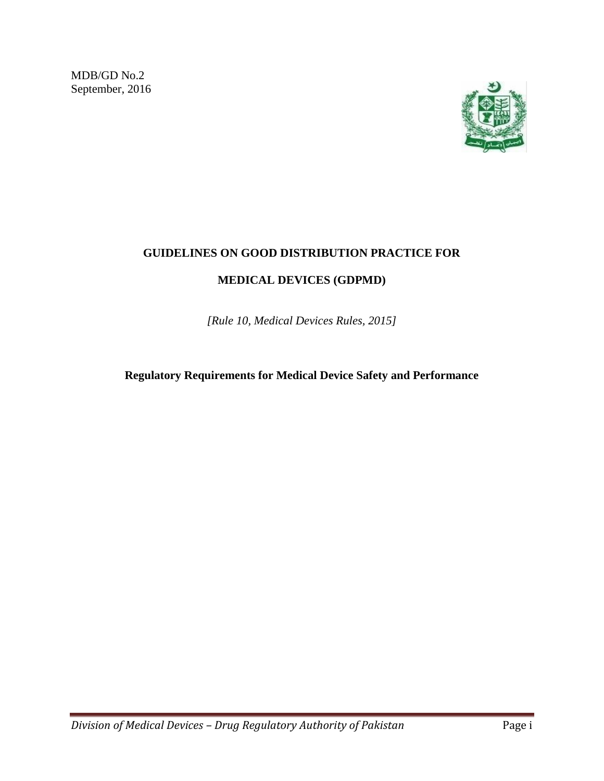MDB/GD No.2 September, 2016



## **GUIDELINES ON GOOD DISTRIBUTION PRACTICE FOR**

## **MEDICAL DEVICES (GDPMD)**

*[Rule 10, Medical Devices Rules, 2015]*

**Regulatory Requirements for Medical Device Safety and Performance**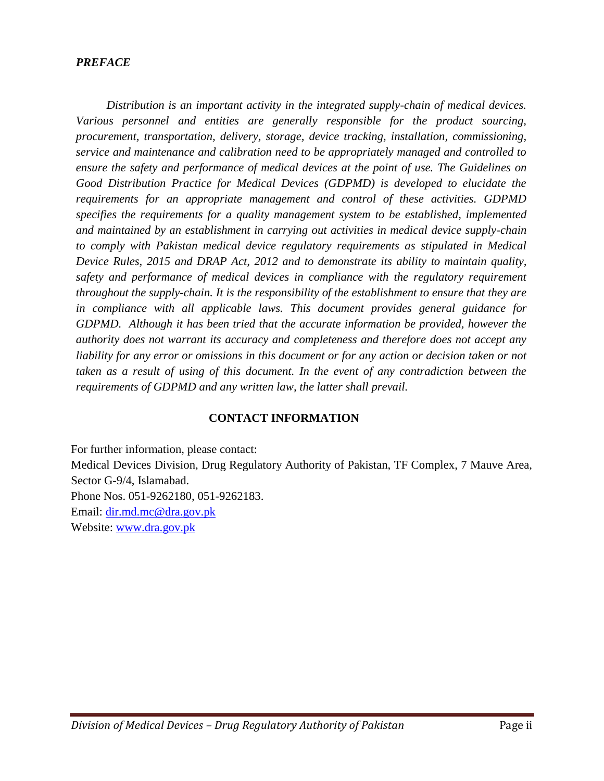#### *PREFACE*

*Distribution is an important activity in the integrated supply-chain of medical devices. Various personnel and entities are generally responsible for the product sourcing, procurement, transportation, delivery, storage, device tracking, installation, commissioning, service and maintenance and calibration need to be appropriately managed and controlled to ensure the safety and performance of medical devices at the point of use. The Guidelines on Good Distribution Practice for Medical Devices (GDPMD) is developed to elucidate the requirements for an appropriate management and control of these activities. GDPMD specifies the requirements for a quality management system to be established, implemented and maintained by an establishment in carrying out activities in medical device supply-chain to comply with Pakistan medical device regulatory requirements as stipulated in Medical Device Rules, 2015 and DRAP Act, 2012 and to demonstrate its ability to maintain quality, safety and performance of medical devices in compliance with the regulatory requirement throughout the supply-chain. It is the responsibility of the establishment to ensure that they are in compliance with all applicable laws. This document provides general guidance for GDPMD. Although it has been tried that the accurate information be provided, however the authority does not warrant its accuracy and completeness and therefore does not accept any liability for any error or omissions in this document or for any action or decision taken or not taken as a result of using of this document. In the event of any contradiction between the requirements of GDPMD and any written law, the latter shall prevail.*

#### **CONTACT INFORMATION**

For further information, please contact: Medical Devices Division, Drug Regulatory Authority of Pakistan, TF Complex, 7 Mauve Area, Sector G-9/4, Islamabad. Phone Nos. 051-9262180, 051-9262183. Email: [dir.md.mc@dra.gov.pk](mailto:dir.md.mc@dra.gov.pk) Website: [www.dra.gov.pk](http://www.dra.gov.pk/)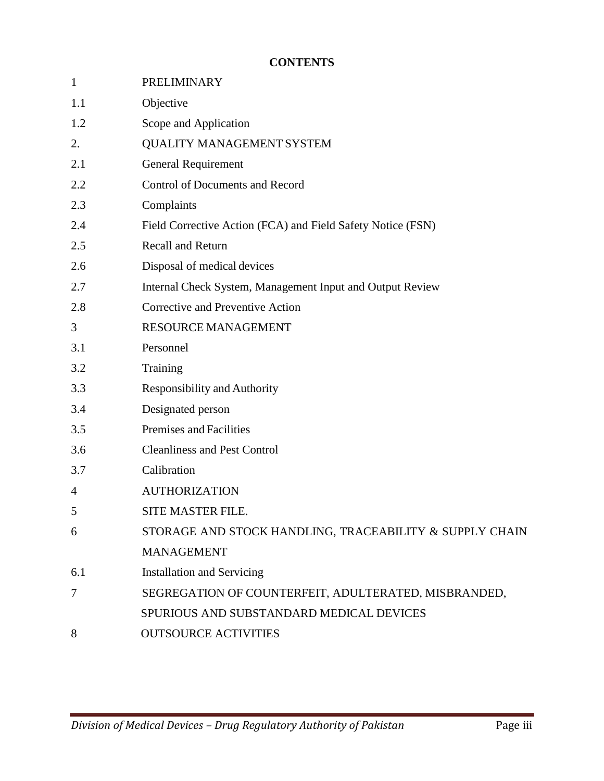# **CONTENTS**

| $\mathbf{1}$   | PRELIMINARY                                                 |
|----------------|-------------------------------------------------------------|
| 1.1            | Objective                                                   |
| 1.2            | Scope and Application                                       |
| 2.             | <b>QUALITY MANAGEMENT SYSTEM</b>                            |
| 2.1            | <b>General Requirement</b>                                  |
| 2.2            | <b>Control of Documents and Record</b>                      |
| 2.3            | Complaints                                                  |
| 2.4            | Field Corrective Action (FCA) and Field Safety Notice (FSN) |
| 2.5            | Recall and Return                                           |
| 2.6            | Disposal of medical devices                                 |
| 2.7            | Internal Check System, Management Input and Output Review   |
| 2.8            | Corrective and Preventive Action                            |
| 3              | RESOURCE MANAGEMENT                                         |
| 3.1            | Personnel                                                   |
| 3.2            | Training                                                    |
| 3.3            | <b>Responsibility and Authority</b>                         |
| 3.4            | Designated person                                           |
| 3.5            | Premises and Facilities                                     |
| 3.6            | <b>Cleanliness and Pest Control</b>                         |
| 3.7            | Calibration                                                 |
| $\overline{4}$ | <b>AUTHORIZATION</b>                                        |
| 5              | SITE MASTER FILE.                                           |
| 6              | STORAGE AND STOCK HANDLING, TRACEABILITY & SUPPLY CHAIN     |
|                | <b>MANAGEMENT</b>                                           |
| 6.1            | <b>Installation and Servicing</b>                           |
| 7              | SEGREGATION OF COUNTERFEIT, ADULTERATED, MISBRANDED,        |
|                | SPURIOUS AND SUBSTANDARD MEDICAL DEVICES                    |
| 8              | <b>OUTSOURCE ACTIVITIES</b>                                 |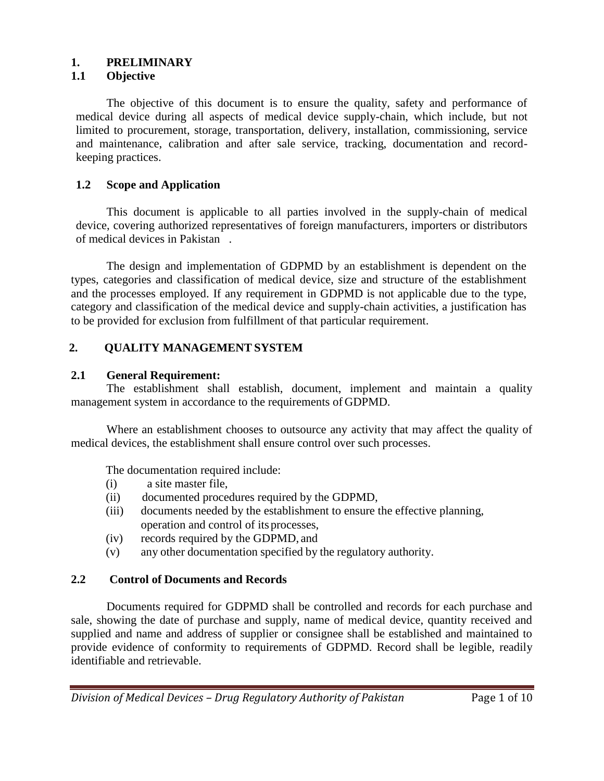## **1. PRELIMINARY**

### **1.1 Objective**

The objective of this document is to ensure the quality, safety and performance of medical device during all aspects of medical device supply-chain, which include, but not limited to procurement, storage, transportation, delivery, installation, commissioning, service and maintenance, calibration and after sale service, tracking, documentation and recordkeeping practices.

## **1.2 Scope and Application**

This document is applicable to all parties involved in the supply-chain of medical device, covering authorized representatives of foreign manufacturers, importers or distributors of medical devices in Pakistan .

The design and implementation of GDPMD by an establishment is dependent on the types, categories and classification of medical device, size and structure of the establishment and the processes employed. If any requirement in GDPMD is not applicable due to the type, category and classification of the medical device and supply-chain activities, a justification has to be provided for exclusion from fulfillment of that particular requirement.

## **2. QUALITY MANAGEMENT SYSTEM**

## **2.1 General Requirement:**

The establishment shall establish, document, implement and maintain a quality management system in accordance to the requirements of GDPMD.

Where an establishment chooses to outsource any activity that may affect the quality of medical devices, the establishment shall ensure control over such processes.

The documentation required include:

- (i) a site master file,
- (ii) documented procedures required by the GDPMD,
- (iii) documents needed by the establishment to ensure the effective planning, operation and control of its processes,
- (iv) records required by the GDPMD, and
- (v) any other documentation specified by the regulatory authority.

## **2.2 Control of Documents and Records**

Documents required for GDPMD shall be controlled and records for each purchase and sale, showing the date of purchase and supply, name of medical device, quantity received and supplied and name and address of supplier or consignee shall be established and maintained to provide evidence of conformity to requirements of GDPMD. Record shall be legible, readily identifiable and retrievable.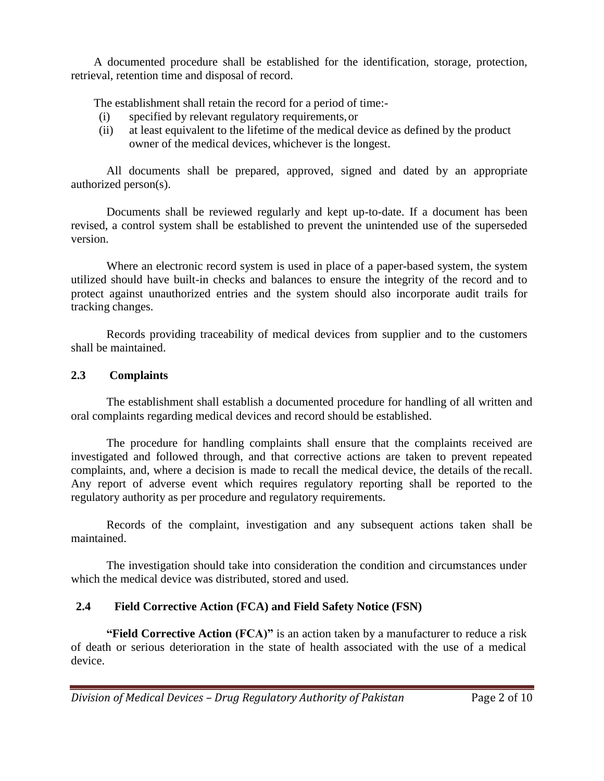A documented procedure shall be established for the identification, storage, protection, retrieval, retention time and disposal of record.

The establishment shall retain the record for a period of time:-

- (i) specified by relevant regulatory requirements,or
- (ii) at least equivalent to the lifetime of the medical device as defined by the product owner of the medical devices, whichever is the longest.

All documents shall be prepared, approved, signed and dated by an appropriate authorized person(s).

Documents shall be reviewed regularly and kept up-to-date. If a document has been revised, a control system shall be established to prevent the unintended use of the superseded version.

Where an electronic record system is used in place of a paper-based system, the system utilized should have built-in checks and balances to ensure the integrity of the record and to protect against unauthorized entries and the system should also incorporate audit trails for tracking changes.

Records providing traceability of medical devices from supplier and to the customers shall be maintained.

## **2.3 Complaints**

The establishment shall establish a documented procedure for handling of all written and oral complaints regarding medical devices and record should be established.

The procedure for handling complaints shall ensure that the complaints received are investigated and followed through, and that corrective actions are taken to prevent repeated complaints, and, where a decision is made to recall the medical device, the details of the recall. Any report of adverse event which requires regulatory reporting shall be reported to the regulatory authority as per procedure and regulatory requirements.

Records of the complaint, investigation and any subsequent actions taken shall be maintained.

The investigation should take into consideration the condition and circumstances under which the medical device was distributed, stored and used.

## **2.4 Field Corrective Action (FCA) and Field Safety Notice (FSN)**

**"Field Corrective Action (FCA)"** is an action taken by a manufacturer to reduce a risk of death or serious deterioration in the state of health associated with the use of a medical device.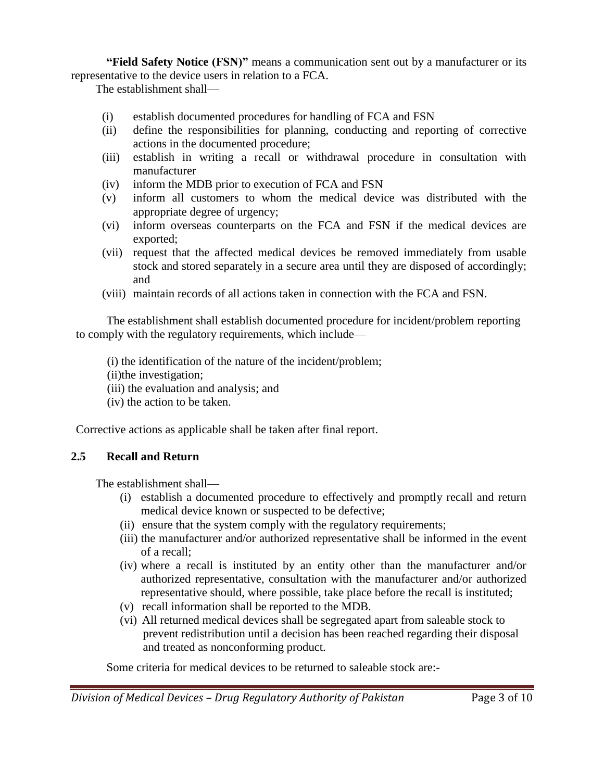**"Field Safety Notice (FSN)"** means a communication sent out by a manufacturer or its representative to the device users in relation to a FCA.

The establishment shall—

- (i) establish documented procedures for handling of FCA and FSN
- (ii) define the responsibilities for planning, conducting and reporting of corrective actions in the documented procedure;
- (iii) establish in writing a recall or withdrawal procedure in consultation with manufacturer
- (iv) inform the MDB prior to execution of FCA and FSN
- (v) inform all customers to whom the medical device was distributed with the appropriate degree of urgency;
- (vi) inform overseas counterparts on the FCA and FSN if the medical devices are exported;
- (vii) request that the affected medical devices be removed immediately from usable stock and stored separately in a secure area until they are disposed of accordingly; and
- (viii) maintain records of all actions taken in connection with the FCA and FSN.

The establishment shall establish documented procedure for incident/problem reporting to comply with the regulatory requirements, which include—

- (i) the identification of the nature of the incident/problem;
- (ii)the investigation;
- (iii) the evaluation and analysis; and
- (iv) the action to be taken.

Corrective actions as applicable shall be taken after final report.

## **2.5 Recall and Return**

The establishment shall—

- (i) establish a documented procedure to effectively and promptly recall and return medical device known or suspected to be defective;
- (ii) ensure that the system comply with the regulatory requirements;
- (iii) the manufacturer and/or authorized representative shall be informed in the event of a recall;
- (iv) where a recall is instituted by an entity other than the manufacturer and/or authorized representative, consultation with the manufacturer and/or authorized representative should, where possible, take place before the recall is instituted;
- (v) recall information shall be reported to the MDB.
- (vi) All returned medical devices shall be segregated apart from saleable stock to prevent redistribution until a decision has been reached regarding their disposal and treated as nonconforming product.

Some criteria for medical devices to be returned to saleable stock are:-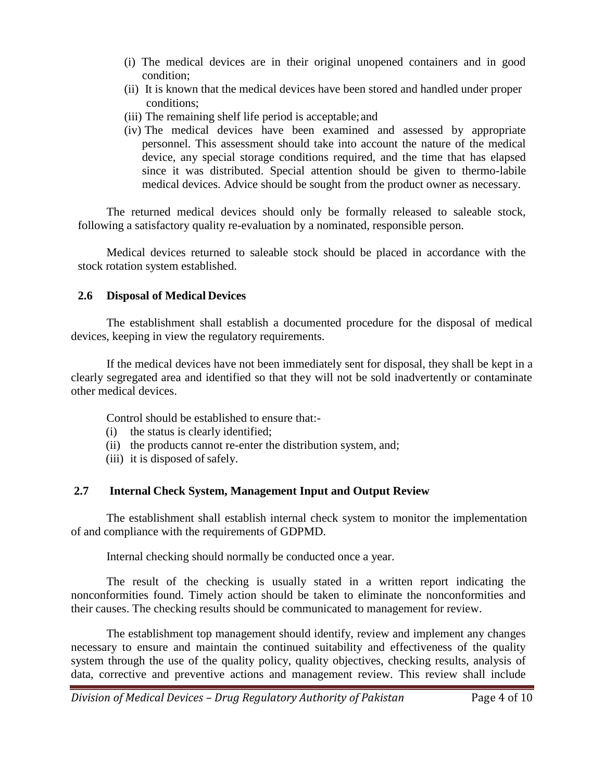- (i) The medical devices are in their original unopened containers and in good condition;
- (ii) It is known that the medical devices have been stored and handled under proper conditions;
- (iii) The remaining shelf life period is acceptable; and
- (iv) The medical devices have been examined and assessed by appropriate personnel. This assessment should take into account the nature of the medical device, any special storage conditions required, and the time that has elapsed since it was distributed. Special attention should be given to thermo-labile medical devices. Advice should be sought from the product owner as necessary.

The returned medical devices should only be formally released to saleable stock, following a satisfactory quality re-evaluation by a nominated, responsible person.

Medical devices returned to saleable stock should be placed in accordance with the stock rotation system established.

## **2.6 Disposal of Medical Devices**

The establishment shall establish a documented procedure for the disposal of medical devices, keeping in view the regulatory requirements.

If the medical devices have not been immediately sent for disposal, they shall be kept in a clearly segregated area and identified so that they will not be sold inadvertently or contaminate other medical devices.

Control should be established to ensure that:-

- (i) the status is clearly identified;
- (ii) the products cannot re-enter the distribution system, and;
- (iii) it is disposed of safely.

## **2.7 Internal Check System, Management Input and Output Review**

The establishment shall establish internal check system to monitor the implementation of and compliance with the requirements of GDPMD.

Internal checking should normally be conducted once a year.

The result of the checking is usually stated in a written report indicating the nonconformities found. Timely action should be taken to eliminate the nonconformities and their causes. The checking results should be communicated to management for review.

The establishment top management should identify, review and implement any changes necessary to ensure and maintain the continued suitability and effectiveness of the quality system through the use of the quality policy, quality objectives, checking results, analysis of data, corrective and preventive actions and management review. This review shall include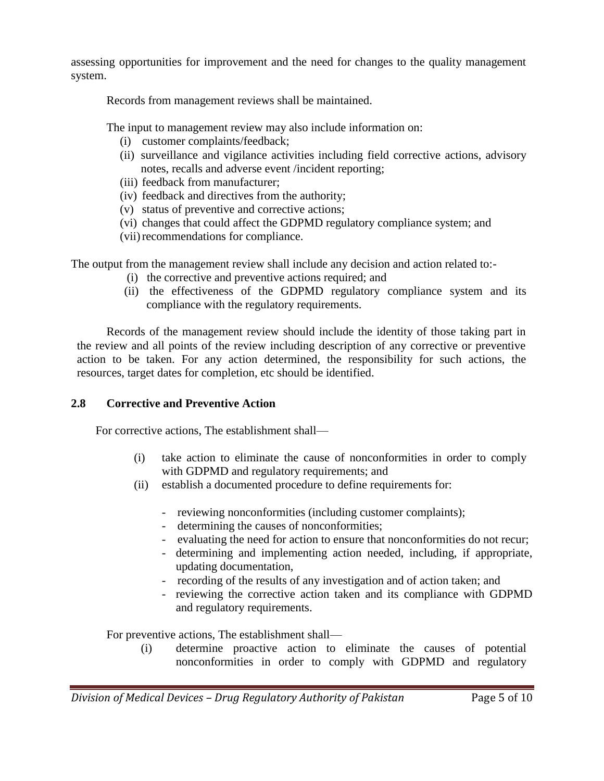assessing opportunities for improvement and the need for changes to the quality management system.

Records from management reviews shall be maintained.

The input to management review may also include information on:

- (i) customer complaints/feedback;
- (ii) surveillance and vigilance activities including field corrective actions, advisory notes, recalls and adverse event /incident reporting;
- (iii) feedback from manufacturer;
- (iv) feedback and directives from the authority;
- (v) status of preventive and corrective actions;
- (vi) changes that could affect the GDPMD regulatory compliance system; and
- (vii) recommendations for compliance.

The output from the management review shall include any decision and action related to:-

- (i) the corrective and preventive actions required; and
- (ii) the effectiveness of the GDPMD regulatory compliance system and its compliance with the regulatory requirements.

Records of the management review should include the identity of those taking part in the review and all points of the review including description of any corrective or preventive action to be taken. For any action determined, the responsibility for such actions, the resources, target dates for completion, etc should be identified.

## **2.8 Corrective and Preventive Action**

For corrective actions, The establishment shall—

- (i) take action to eliminate the cause of nonconformities in order to comply with GDPMD and regulatory requirements; and
- (ii) establish a documented procedure to define requirements for:
	- reviewing nonconformities (including customer complaints);
	- determining the causes of nonconformities;
	- evaluating the need for action to ensure that nonconformities do not recur;
	- determining and implementing action needed, including, if appropriate, updating documentation,
	- recording of the results of any investigation and of action taken; and
	- reviewing the corrective action taken and its compliance with GDPMD and regulatory requirements.

For preventive actions, The establishment shall—

(i) determine proactive action to eliminate the causes of potential nonconformities in order to comply with GDPMD and regulatory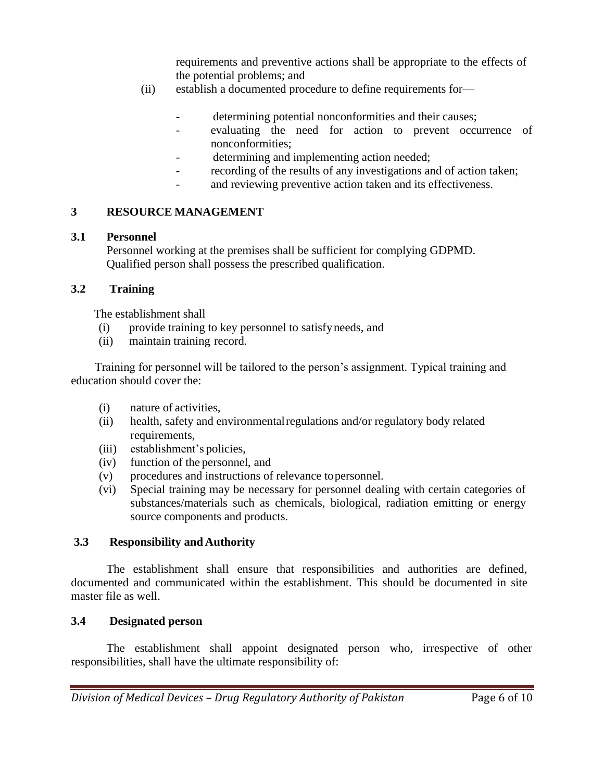requirements and preventive actions shall be appropriate to the effects of the potential problems; and

- (ii) establish a documented procedure to define requirements for—
	- determining potential nonconformities and their causes;
	- evaluating the need for action to prevent occurrence of nonconformities;
	- determining and implementing action needed;
	- recording of the results of any investigations and of action taken;
	- and reviewing preventive action taken and its effectiveness.

## **3 RESOURCE MANAGEMENT**

#### **3.1 Personnel**

Personnel working at the premises shall be sufficient for complying GDPMD. Qualified person shall possess the prescribed qualification.

## **3.2 Training**

The establishment shall

- (i) provide training to key personnel to satisfyneeds, and
- (ii) maintain training record.

Training for personnel will be tailored to the person's assignment. Typical training and education should cover the:

- (i) nature of activities,
- (ii) health, safety and environmentalregulations and/or regulatory body related requirements,
- (iii) establishment's policies,
- (iv) function of the personnel, and
- (v) procedures and instructions of relevance topersonnel.
- (vi) Special training may be necessary for personnel dealing with certain categories of substances/materials such as chemicals, biological, radiation emitting or energy source components and products.

## **3.3 Responsibility and Authority**

The establishment shall ensure that responsibilities and authorities are defined, documented and communicated within the establishment. This should be documented in site master file as well.

## **3.4 Designated person**

The establishment shall appoint designated person who, irrespective of other responsibilities, shall have the ultimate responsibility of: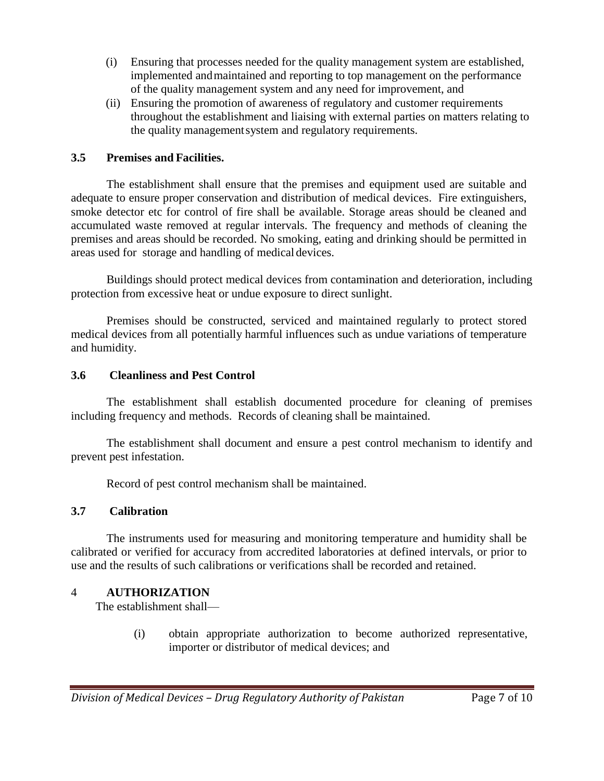- (i) Ensuring that processes needed for the quality management system are established, implemented andmaintained and reporting to top management on the performance of the quality management system and any need for improvement, and
- (ii) Ensuring the promotion of awareness of regulatory and customer requirements throughout the establishment and liaising with external parties on matters relating to the quality managementsystem and regulatory requirements.

## **3.5 Premises and Facilities.**

The establishment shall ensure that the premises and equipment used are suitable and adequate to ensure proper conservation and distribution of medical devices. Fire extinguishers, smoke detector etc for control of fire shall be available. Storage areas should be cleaned and accumulated waste removed at regular intervals. The frequency and methods of cleaning the premises and areas should be recorded. No smoking, eating and drinking should be permitted in areas used for storage and handling of medical devices.

Buildings should protect medical devices from contamination and deterioration, including protection from excessive heat or undue exposure to direct sunlight.

Premises should be constructed, serviced and maintained regularly to protect stored medical devices from all potentially harmful influences such as undue variations of temperature and humidity.

#### **3.6 Cleanliness and Pest Control**

The establishment shall establish documented procedure for cleaning of premises including frequency and methods. Records of cleaning shall be maintained.

The establishment shall document and ensure a pest control mechanism to identify and prevent pest infestation.

Record of pest control mechanism shall be maintained.

## **3.7 Calibration**

The instruments used for measuring and monitoring temperature and humidity shall be calibrated or verified for accuracy from accredited laboratories at defined intervals, or prior to use and the results of such calibrations or verifications shall be recorded and retained.

#### 4 **AUTHORIZATION**

The establishment shall—

(i) obtain appropriate authorization to become authorized representative, importer or distributor of medical devices; and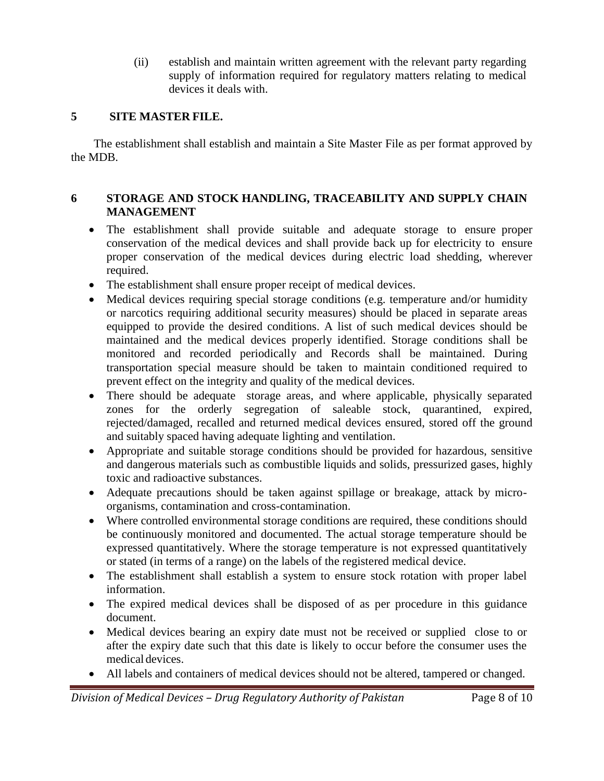(ii) establish and maintain written agreement with the relevant party regarding supply of information required for regulatory matters relating to medical devices it deals with.

## **5 SITE MASTER FILE.**

The establishment shall establish and maintain a Site Master File as per format approved by the MDB.

## **6 STORAGE AND STOCK HANDLING, TRACEABILITY AND SUPPLY CHAIN MANAGEMENT**

- The establishment shall provide suitable and adequate storage to ensure proper conservation of the medical devices and shall provide back up for electricity to ensure proper conservation of the medical devices during electric load shedding, wherever required.
- The establishment shall ensure proper receipt of medical devices.
- Medical devices requiring special storage conditions (e.g. temperature and/or humidity or narcotics requiring additional security measures) should be placed in separate areas equipped to provide the desired conditions. A list of such medical devices should be maintained and the medical devices properly identified. Storage conditions shall be monitored and recorded periodically and Records shall be maintained. During transportation special measure should be taken to maintain conditioned required to prevent effect on the integrity and quality of the medical devices.
- There should be adequate storage areas, and where applicable, physically separated zones for the orderly segregation of saleable stock, quarantined, expired, rejected/damaged, recalled and returned medical devices ensured, stored off the ground and suitably spaced having adequate lighting and ventilation.
- Appropriate and suitable storage conditions should be provided for hazardous, sensitive and dangerous materials such as combustible liquids and solids, pressurized gases, highly toxic and radioactive substances.
- Adequate precautions should be taken against spillage or breakage, attack by microorganisms, contamination and cross-contamination.
- Where controlled environmental storage conditions are required, these conditions should be continuously monitored and documented. The actual storage temperature should be expressed quantitatively. Where the storage temperature is not expressed quantitatively or stated (in terms of a range) on the labels of the registered medical device.
- The establishment shall establish a system to ensure stock rotation with proper label information.
- The expired medical devices shall be disposed of as per procedure in this guidance document.
- Medical devices bearing an expiry date must not be received or supplied close to or after the expiry date such that this date is likely to occur before the consumer uses the medical devices.
- All labels and containers of medical devices should not be altered, tampered or changed.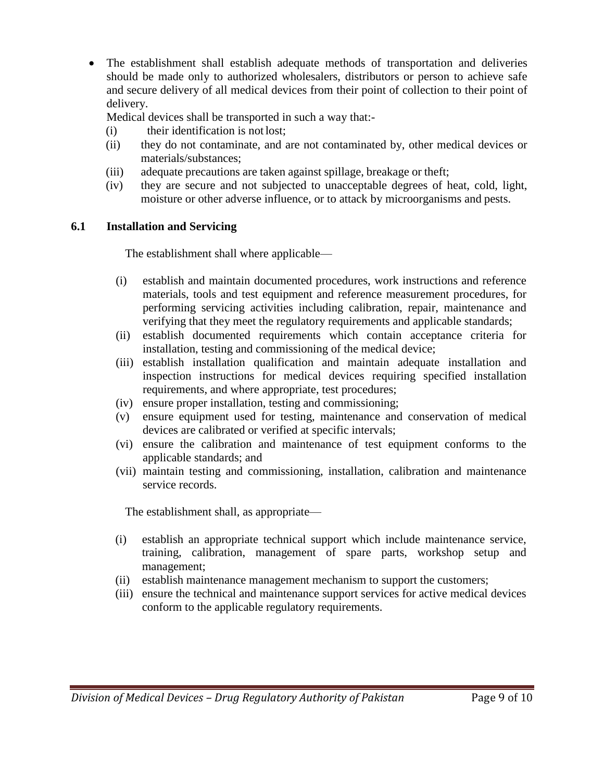The establishment shall establish adequate methods of transportation and deliveries should be made only to authorized wholesalers, distributors or person to achieve safe and secure delivery of all medical devices from their point of collection to their point of delivery.

Medical devices shall be transported in such a way that:-

- (i) their identification is not lost;
- (ii) they do not contaminate, and are not contaminated by, other medical devices or materials/substances;
- (iii) adequate precautions are taken against spillage, breakage or theft;
- (iv) they are secure and not subjected to unacceptable degrees of heat, cold, light, moisture or other adverse influence, or to attack by microorganisms and pests.

## **6.1 Installation and Servicing**

The establishment shall where applicable—

- (i) establish and maintain documented procedures, work instructions and reference materials, tools and test equipment and reference measurement procedures, for performing servicing activities including calibration, repair, maintenance and verifying that they meet the regulatory requirements and applicable standards;
- (ii) establish documented requirements which contain acceptance criteria for installation, testing and commissioning of the medical device;
- (iii) establish installation qualification and maintain adequate installation and inspection instructions for medical devices requiring specified installation requirements, and where appropriate, test procedures;
- (iv) ensure proper installation, testing and commissioning;
- (v) ensure equipment used for testing, maintenance and conservation of medical devices are calibrated or verified at specific intervals;
- (vi) ensure the calibration and maintenance of test equipment conforms to the applicable standards; and
- (vii) maintain testing and commissioning, installation, calibration and maintenance service records.

The establishment shall, as appropriate—

- (i) establish an appropriate technical support which include maintenance service, training, calibration, management of spare parts, workshop setup and management;
- (ii) establish maintenance management mechanism to support the customers;
- (iii) ensure the technical and maintenance support services for active medical devices conform to the applicable regulatory requirements.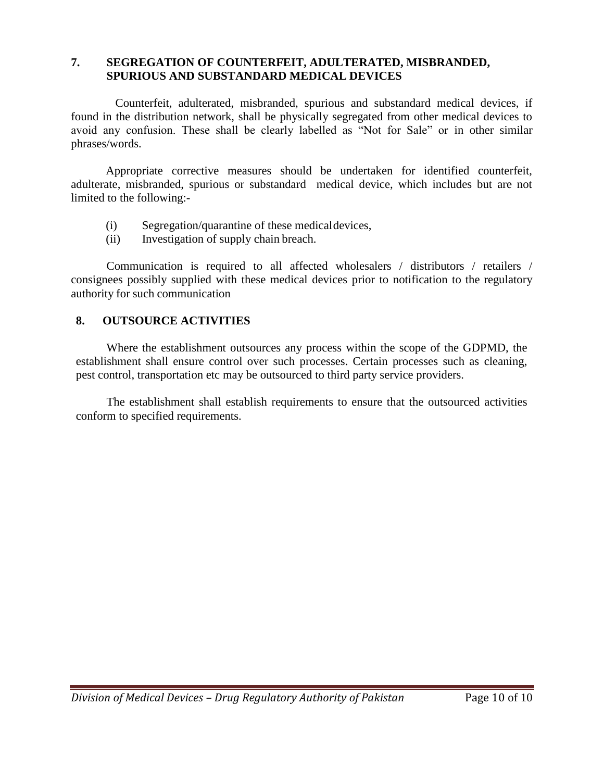### **7. SEGREGATION OF COUNTERFEIT, ADULTERATED, MISBRANDED, SPURIOUS AND SUBSTANDARD MEDICAL DEVICES**

 Counterfeit, adulterated, misbranded, spurious and substandard medical devices, if found in the distribution network, shall be physically segregated from other medical devices to avoid any confusion. These shall be clearly labelled as "Not for Sale" or in other similar phrases/words.

Appropriate corrective measures should be undertaken for identified counterfeit, adulterate, misbranded, spurious or substandard medical device, which includes but are not limited to the following:-

- (i) Segregation/quarantine of these medicaldevices,
- (ii) Investigation of supply chain breach.

Communication is required to all affected wholesalers / distributors / retailers / consignees possibly supplied with these medical devices prior to notification to the regulatory authority for such communication

## **8. OUTSOURCE ACTIVITIES**

Where the establishment outsources any process within the scope of the GDPMD, the establishment shall ensure control over such processes. Certain processes such as cleaning, pest control, transportation etc may be outsourced to third party service providers.

The establishment shall establish requirements to ensure that the outsourced activities conform to specified requirements.